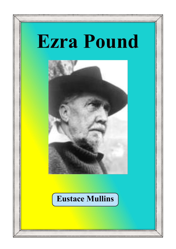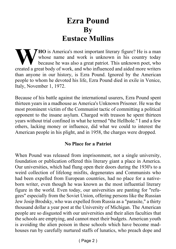## **Ezra Pound By Eustace Mullins**

**WEG** is America's most important literary figure? He is a man whose name and work is unknown in his country today because he was also a great patriot. This unknown poet, who created a great body of work, and who influence whose name and work is unknown in his country today because he was also a great patriot. This unknown poet, who than anyone in our history, is Ezra Pound. Ignored by the American people to whom he devoted his life, Ezra Pound died in exile in Venice, Italy, November 1, 1972.

Because of his battle against the international usurers, Ezra Pound spent thirteen years in a madhouse as America's Unknown Prisoner. He was the most prominent victim of the Communist tactic of committing a political opponent to the insane asylum. Charged with treason he spent thirteen years without trial confined in what he termed "the Hellhole." I and a few others, lacking money or influence, did what we could to interest the American people in his plight, and in 1958, the charges were dropped.

## **No Place for a Patriot**

When Pound was released from imprisonment, not a single university, foundation or publication offered this literary giant a place in America. Our universities, which had flung open their doors during the 1930's to a weird collection of lifelong misfits, degenerates and Communists who had been expelled from European countries, had no place for a nativeborn writer, even though he was known as the most influential literary figure in the world. Even today, our universities are panting for "refugees" especially from the Soviet Union, offering persons like the Russian Jew Josip Brodsky, who was expelled from Russia as a "parasite," a thirty thousand dollar a year post at the University of Michigan. The American people are so disgusted with our universities and their alien faculties that the schools are emptying, and cannot meet their budgets. American youth is avoiding the alien poison in these schools which have become madhouses run by carefully nurtured staffs of lunatics, who preach dope and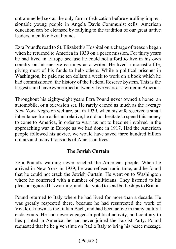untrammelled sex as the only form of education before enrolling impressionable young people in Angela Davis Communist cells. American education can be cleansed by rallying to the tradition of our great native leaders, men like Ezra Pound.

Ezra Pound's road to St. Elizabeth's Hospital on a charge of treason began when he returned to America in 1939 on a peace mission. For thirty years he had lived in Europe because he could not afford to live in his own country on his meagre earnings as a writer. He lived a monastic life, giving most of his funds to help others. While a political prisoner in Washington, he paid me ten dollars a week to work on a book which he had commissioned, the history of the Federal Reserve System. This is the largest sum I have ever earned in twenty-five years as a writer in America.

Throughout his eighty-eight years Ezra Pound never owned a home, an automobile, or a television set. He rarely earned as much as the average New York Negro on welfare, but in 1939, when his wife received a small inheritance from a distant relative, he did not hesitate to spend this money to come to America, in order to warn us not to become involved in the approaching war in Europe as we had done in 1917. Had the American people followed his advice, we would have saved three hundred billion dollars and many thousands of American lives.

### **The Jewish Curtain**

Ezra Pound's warning never reached the American people. When he arrived in New York in 1939, he was refused radio time, and he found that he could not crack the Jewish Curtain. He went on to Washington where he conferred with a number of politicians. They listened to his plea, but ignored his warning, and later voted to send battleships to Britain.

Pound returned to Italy where he had lived for more than a decade. He was greatly respected there, because he had resurrected the work of Vivaldi, known as the Italian Bach, and had been active in many cultural endeavours. He had never engaged in political activity, and contrary to lies printed in America, he had never joined the Fascist Party. Pound requested that he be given time on Radio Italy to bring his peace message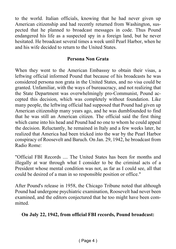to the world. Italian officials, knowing that he had never given up American citizenship and had recently returned from Washington, suspected that he planned to broadcast messages in code. Thus Pound endangered his life as a suspected spy in a foreign land, but he never hesitated. He broadcast several times a week until Pearl Harbor, when he and his wife decided to return to the United States.

#### **Persona Non Grata**

When they went to the American Embasssy to obtain their visas, a leftwing official informed Pound that because of his broadcasts he was considered persona non grata in the United States, and no visa could be granted. Unfamiliar, with the ways of bureaucracy, and not realizing that the State Department was overwhelmingly pro-Communist, Pound accepted this decision, which was completely without foundation. Like many people, the leftwing official had supposed that Pound had given up American citizenship many years ago, and he was dumbfounded to find that he was still an American citizen. The official said the first thing which came into his head and Pound had no one to whom he could appeal the decision. Reluctantly, he remained in Italy and a few weeks later, he realized that America had been tricked into the war by the Pearl Harbor conspiracy of Roosevelt and Baruch. On Jan. 29, 1942, he broadcast from Radio Rome:

"Official FBI Records .... The United States has been for months and illegally at war through what I consider to be the criminal acts of a President whose mental condition was not, as far as I could see, all that could be desired of a man in so responsible position or office."

After Pound's release in 1958, the Chicago Tribune noted that although Pound had undergone psychiatric examination, Roosevelt had never been examined, and the editors conjectured that he too might have been committed.

### **On July 22, 1942, from official FBI records, Pound broadcast:**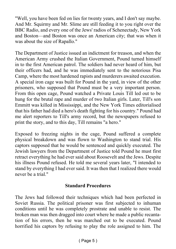"Well, you have been fed on lies for twenty years, and I don't say maybe. And Mr. Squirmy and Mr. Slime are still feeding it to you right over the BBC Radio, and every one of the Jews' radios of Schenectady, New York and Boston—and Boston was once an American city; that was when it was about the size of Rapallo."

The Department of Justice issued an indictment for treason, and when the American Army crushed the Italian Government, Pound turned himself in to the first American patrol. The soldiers had never heard of him, but their officers had, and he was immediately sent to the notorious Pisa Camp, where the most hardened rapists and murderers awaited execution. A special iron cage was built for Pound in the yard, in view of the other prisoners, who supposed that Pound must be a very important person. From this open cage, Pound watched a Private Louis Till led out to be hung for the brutal rape and murder of two Italian girls. Later, Till's son Emmitt was killed in Mississippi, and the New York Times editorialised that his father had died a hero's death fighting for his country." Pound had me alert reporters to Till's army record, but the newspapers refused to print the story, and to this day, Till remains "a hero."

Exposed to freezing nights in the cage, Pound suffered a complete physical breakdown and was flown to Washington to stand trial. His captors supposed that he would be sentenced and quickly executed. The Jewish lawyers from the Department of Justice told Pound he must first retract everything he had ever said about Roosevelt and the Jews. Despite his illness Pound refused. He told me several years later, "I intended to stand by everything I had ever said. It was then that I realized there would never be a trial."

#### **Standard Procedures**

The Jews had followed their techniques which had been perfected in Soviet Russia. The political prisoner was first subjected to inhuman conditions until he was completely prostrate and unable to resist. The broken man was then dragged into court where he made a public recantation of his errors, then he was marched out to be executed. Pound horrified his captors by refusing to play the role assigned to him. The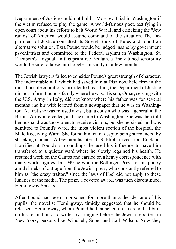Department of Justice could not hold a Moscow Trial in Washington if the victim refused to play the game. A world-famous poet, testifying in open court about his efforts to halt World War II, and criticizing the "Jew radios" of America, would assume command of the situation. The Department of Justice consulted its Soviet Book of Rules and found an alternative solution. Ezra Pound would be judged insane by government psychiatrists and committed to the Federal asylum in Washington, St. Elizabeth's Hospital. In this primitive Bedlam, a finely tuned sensibility would be sure to lapse into hopeless insanity in a few months.

The Jewish lawyers failed to consider Pound's great strength of character. The indomitable will which had saved him at Pisa now held firm in the most horrible conditions. In order to break him, the Department of Justice did not inform Pound's family where he was. His son, Omar, serving with the U.S. Army in Italy, did not know where his father was for several months and his wife learned from a newspaper that he was in Washington. At first she was refused a visa, but a cousin who was a general in the British Army interceded, and she came to Washington. She was then told her husband was too violent to receive visitors, but she persisted, and was admitted to Pound's ward, the most violent section of the hospital, the Male Receiving Ward. She found him calm despite being surrounded by shrieking maniacs. A few months later, T. S. Eliot arrived from England. Horrified at Pound's surroundings, he used his influence to have him transferred to a quieter ward where he slowly regained his health. He resumed work on the Cantos and carried on a heavy correspondence with many world figures. In 1949 he won the Bollingen Prize for his poetry amid shrieks of outrage from the Jewish press, who constantly referred to him as "the crazy traitor," since the laws of libel did not apply to these lunatics of the media. The prize, a coveted award, was then discontinued. Hemingway Speaks

After Pound had been imprisoned for more than a decade, one of his pupils, the novelist Hemingway, timidly suggested that he should be released. Hemingway, whom Pound had launched on a career, had built up his reputation as a writer by cringing before the Jewish reporters in New York, persons like Winchell, Sobel and Earl Wilson. Now they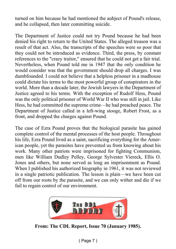turned on him because he had mentioned the aubject of Pound's release, and he collapsed, then later committing suicide.

The Department of Justice could not try Pound because he had been denied his right to return to the United States. The alleged treason was a result of that act. Also, the transcripts of the speeches were so poor that they could not be introduced as evidence. Third, the press, by constant references to the "crazy traitor," ensured that he could not get a fair trial. Nevertheless, when Pound told me in 1947 that the only condition he would consider was that the government should drop all charges. I was dumbfounded. I could not believe that a helpless prisoner in a madhouse could dictate his terms to the most powerful group of conspirators in the world. More than a decade later, the Jewish lawyers in the Department of Justice agreed to his terms. With the exception of Rudolf Hess, Pound was the only political prisoner of World War II who was still in jail. Like Hess, he had committed the supreme crime—he had preached peace. The Department of Justice called in a left-wing stooge, Robert Frost, as a front, and dropped the charges against Pound.

The case of Ezra Pound proves that the biological parasite has gained complete control of the mental processes of the host people. Throughout his life, Ezra Pound lived as a saint, sacrificing everything for the American people, yet the parasites have prevented us from knowing about his work. Many other patriots were imprisoned for fighting Communism, men like William Dudley Pelley, George Sylvester Viereck, Ellis O. Jones and others, but none served as long an imprisonment as Pound. When I published his authorized biography in 1961, it was not reviewed in a single patriotic publication. The lesson is plain—we have been cut off from our roots by the parasite, and we can only wither and die if we fail to regain control of our environment.



**From: The CDL Report, Issue 70 (January 1985).**